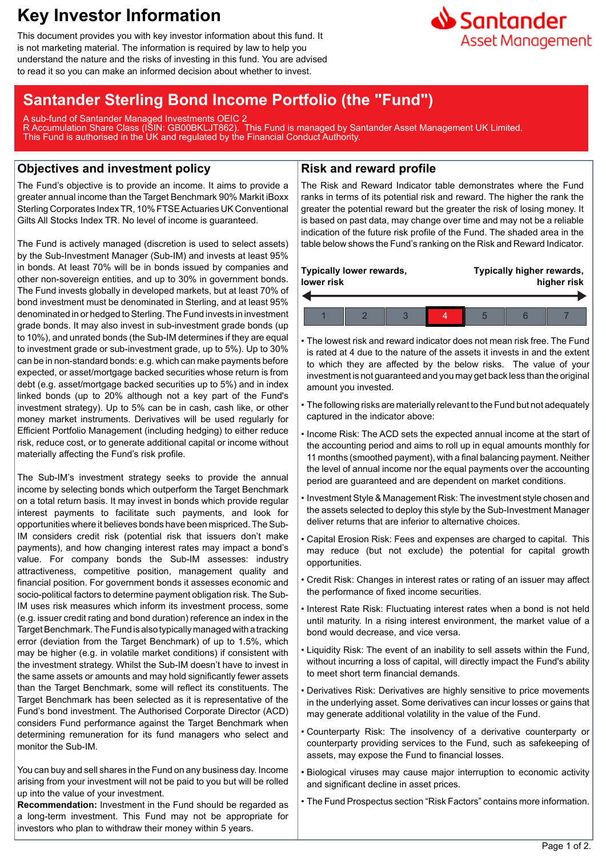# **Key Investor Information**

This document provides you with key investor information about this fund. It is not marketing material. The information is required by law to help you understand the nature and the risks of investing in this fund. You are advised to read it so you can make an informed decision about whether to invest.

## **Santander Sterling Bond Income Portfolio (the "Fund")**

A sub-fund of Santander Managed Investments OEIC 2 R Accumulation Share Class (ISIN: GB00BKLJT862). This Fund is managed by Santander Asset Management UK Limited. This Fund is authorised in the UK and regulated by the Financial Conduct Authority.

### **Objectives and investment policy**

The Fund's objective is to provide an income. It aims to provide a greater annual income than the Target Benchmark 90% Markit iBoxx Sterling Corporates Index TR, 10% FTSE Actuaries UK Conventional Gilts All Stocks Index TR. No level of income is guaranteed.

The Fund is actively managed (discretion is used to select assets) by the Sub-Investment Manager (Sub-IM) and invests at least 95% in bonds. At least 70% will be in bonds issued by companies and other non-sovereign entities, and up to 30% in government bonds. The Fund invests globally in developed markets, but at least 70% of bond investment must be denominated in Sterling, and at least 95% denominated in or hedged to Sterling. The Fund invests in investment grade bonds. It may also invest in sub-investment grade bonds (up to 10%), and unrated bonds (the Sub-IM determines if they are equal to investment grade or sub-investment grade, up to 5%). Up to 30% can be in non-standard bonds: e.g. which can make payments before expected, or asset/mortgage backed securities whose return is from debt (e.g. asset/mortgage backed securities up to 5%) and in index linked bonds (up to 20% although not a key part of the Fund's investment strategy). Up to 5% can be in cash, cash like, or other money market instruments. Derivatives will be used regularly for Efficient Portfolio Management (including hedging) to either reduce risk, reduce cost, or to generate additional capital or income without materially affecting the Fund's risk profile.

The Sub-IM's investment strategy seeks to provide the annual income by selecting bonds which outperform the Target Benchmark on a total return basis. It may invest in bonds which provide regular interest payments to facilitate such payments, and look for opportunities where it believes bonds have been mispriced. The Sub-IM considers credit risk (potential risk that issuers don't make payments), and how changing interest rates may impact a bond's value. For company bonds the Sub-IM assesses: industry attractiveness, competitive position, management quality and financial position. For government bonds it assesses economic and socio-political factors to determine payment obligation risk. The Sub-IM uses risk measures which inform its investment process, some (e.g. issuer credit rating and bond duration) reference an index in the Target Benchmark. The Fund is also typically managed with a tracking error (deviation from the Target Benchmark) of up to 1.5%, which may be higher (e.g. in volatile market conditions) if consistent with the investment strategy. Whilst the Sub-IM doesn't have to invest in the same assets or amounts and may hold significantly fewer assets than the Target Benchmark, some will reflect its constituents. The Target Benchmark has been selected as it is representative of the Fund's bond investment. The Authorised Corporate Director (ACD) considers Fund performance against the Target Benchmark when determining remuneration for its fund managers who select and monitor the Sub-IM.

You can buy and sell shares in the Fund on any business day. Income arising from your investment will not be paid to you but will be rolled up into the value of your investment.

**Recommendation:** Investment in the Fund should be regarded as a long-term investment. This Fund may not be appropriate for investors who plan to withdraw their money within 5 years.

#### **Risk and reward profile**

The Risk and Reward Indicator table demonstrates where the Fund ranks in terms of its potential risk and reward. The higher the rank the greater the potential reward but the greater the risk of losing money. It is based on past data, may change over time and may not be a reliable indication of the future risk profile of the Fund. The shaded area in the table below shows the Fund's ranking on the Risk and Reward Indicator.

| Typically lower rewards, |  |  |  | Typically higher rewards, |  |  |
|--------------------------|--|--|--|---------------------------|--|--|
| lower risk               |  |  |  | higher risk               |  |  |
|                          |  |  |  |                           |  |  |

- The lowest risk and reward indicator does not mean risk free. The Fund is rated at 4 due to the nature of the assets it invests in and the extent to which they are affected by the below risks. The value of your investment is not guaranteed and you may get back less than the original amount you invested.
- The following risks are materially relevant to the Fund but not adequately captured in the indicator above:
- Income Risk: The ACD sets the expected annual income at the start of the accounting period and aims to roll up in equal amounts monthly for 11 months (smoothed payment), with a final balancing payment. Neither the level of annual income nor the equal payments over the accounting period are guaranteed and are dependent on market conditions.
- Investment Style & Management Risk: The investment style chosen and the assets selected to deploy this style by the Sub-Investment Manager deliver returns that are inferior to alternative choices.
- Capital Erosion Risk: Fees and expenses are charged to capital. This may reduce (but not exclude) the potential for capital growth opportunities.
- Credit Risk: Changes in interest rates or rating of an issuer may affect the performance of fixed income securities.
- Interest Rate Risk: Fluctuating interest rates when a bond is not held until maturity. In a rising interest environment, the market value of a bond would decrease, and vice versa.
- Liquidity Risk: The event of an inability to sell assets within the Fund, without incurring a loss of capital, will directly impact the Fund's ability to meet short term financial demands.
- Derivatives Risk: Derivatives are highly sensitive to price movements in the underlying asset. Some derivatives can incur losses or gains that may generate additional volatility in the value of the Fund.
- Counterparty Risk: The insolvency of a derivative counterparty or counterparty providing services to the Fund, such as safekeeping of assets, may expose the Fund to financial losses.
- Biological viruses may cause major interruption to economic activity and significant decline in asset prices.
- The Fund Prospectus section "Risk Factors" contains more information.